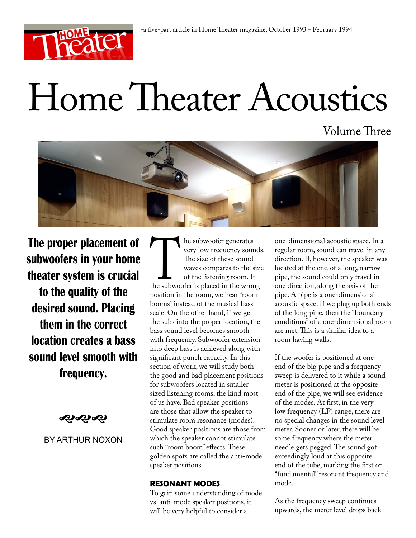

# Home Theater Acoustics

Volume Three



**The proper placement of subwoofers in your home theater system is crucial to the quality of the desired sound. Placing them in the correct location creates a bass sound level smooth with frequency.**

≪ે≪ે≪ે

# BY ARTHUR NOXON

The subwoofer generates<br>
very low frequency soun<br>
The size of these sound<br>
waves compares to the s<br>
of the listening room. If<br>
the subwoofer is placed in the wron<br>
position in the room, we hear "room very low frequency sounds. The size of these sound waves compares to the size of the listening room. If the subwoofer is placed in the wrong position in the room, we hear "room booms" instead of the musical bass scale. On the other hand, if we get the subs into the proper location, the bass sound level becomes smooth with frequency. Subwoofer extension into deep bass is achieved along with significant punch capacity. In this section of work, we will study both the good and bad placement positions for subwoofers located in smaller sized listening rooms, the kind most of us have. Bad speaker positions are those that allow the speaker to stimulate room resonance (modes). Good speaker positions are those from which the speaker cannot stimulate such "room boom" effects. These golden spots are called the anti-mode speaker positions.

# **RESONANT MODES**

To gain some understanding of mode vs. anti-mode speaker positions, it will be very helpful to consider a

one-dimensional acoustic space. In a regular room, sound can travel in any direction. If, however, the speaker was located at the end of a long, narrow pipe, the sound could only travel in one direction, along the axis of the pipe. A pipe is a one-dimensional acoustic space. If we plug up both ends of the long pipe, then the "boundary conditions" of a one-dimensional room are met. This is a similar idea to a room having walls.

If the woofer is positioned at one end of the big pipe and a frequency sweep is delivered to it while a sound meter is positioned at the opposite end of the pipe, we will see evidence of the modes. At first, in the very low frequency (LF) range, there are no special changes in the sound level meter. Sooner or later, there will be some frequency where the meter needle gets pegged. The sound got exceedingly loud at this opposite end of the tube, marking the first or "fundamental" resonant frequency and mode.

As the frequency sweep continues upwards, the meter level drops back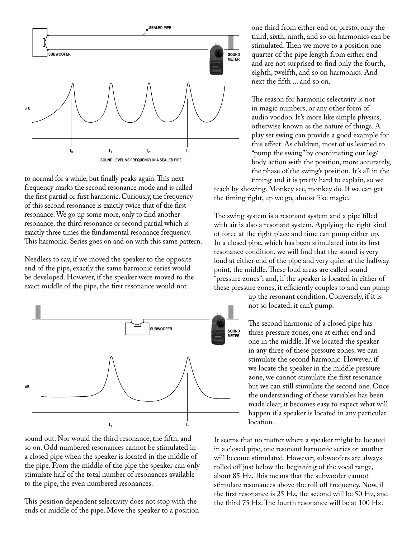

to normal for a while, but finally peaks again. This next frequency marks the second resonance mode and is called the first partial or first harmonic. Curiously, the frequency of this second resonance is exactly twice that of the first resonance. We go up some more, only to find another resonance, the third resonance or second partial which is exactly three times the fundamental resonance frequency. This harmonic. Series goes on and on with this same pattern.

Needless to say, if we moved the speaker to the opposite end of the pipe, exactly the same harmonic series would be developed. However, if the speaker were moved to the exact middle of the pipe, the first resonance would not



sound out. Nor would the third resonance, the fifth, and so on. Odd numbered resonances cannot be stimulated in a closed pipe when the speaker is located in the middle of the pipe. From the middle of the pipe the speaker can only stimulate half of the total number of resonances available to the pipe, the even numbered resonances.

This position dependent selectivity does not stop with the ends or middle of the pipe. Move the speaker to a position one third from either end or, presto, only the third, sixth, ninth, and so on harmonics can be stimulated. Then we move to a position one quarter of the pipe length from either end and are not surprised to find only the fourth, eighth, twelfth, and so on harmonics. And next the fifth ... and so on.

The reason for harmonic selectivity is not in magic numbers, or any other form of audio voodoo. It's more like simple physics, otherwise known as the nature of things. A play set swing can provide a good example for this effect. As children, most of us learned to "pump the swing" by coordinating our leg/ body action with the position, more accurately, the phase of the swing's position. It's all in the timing and it is pretty hard to explain, so we

teach by showing. Monkey see, monkey do. If we can get the timing right, up we go, almost like magic.

The swing system is a resonant system and a pipe filled with air is also a resonant system. Applying the right kind of force at the right place and time can pump either up. In a closed pipe, which has been stimulated into its first resonance condition, we will find that the sound is very loud at either end of the pipe and very quiet at the halfway point, the middle. These loud areas are called sound "pressure zones"; and, if the speaker is located in either of these pressure zones, it efficiently couples to and can pump

> up the resonant condition. Conversely, if it is not so located, it can't pump.

The second harmonic of a closed pipe has three pressure zones, one at either end and one in the middle. If we located the speaker in any three of these pressure zones, we can stimulate the second harmonic. However, if we locate the speaker in the middle pressure zone, we cannot stimulate the first resonance but we can still stimulate the second one. Once the understanding of these variables has been made clear, it becomes easy to expect what will happen if a speaker is located in any particular location.

It seems that no matter where a speaker might be located in a closed pipe, one resonant harmonic series or another will become stimulated. However, subwoofers are always rolled off just below the beginning of the vocal range, about 85 Hz. This means that the subwoofer cannot stimulate resonances above the roll off frequency. Now, if the first resonance is 25 Hz, the second will be 50 Hz, and the third 75 Hz. The fourth resonance will be at 100 Hz.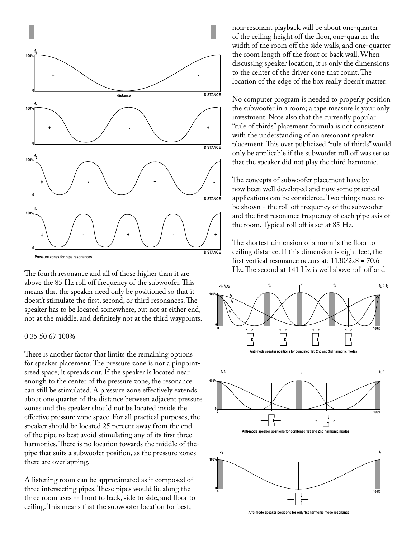

The fourth resonance and all of those higher than it are above the 85 Hz roll off frequency of the subwoofer. This means that the speaker need only be positioned so that it doesn't stimulate the first, second, or third resonances. The speaker has to be located somewhere, but not at either end, not at the middle, and definitely not at the third waypoints.

### 0 35 50 67 100%

There is another factor that limits the remaining options for speaker placement. The pressure zone is not a pinpointsized space; it spreads out. If the speaker is located near enough to the center of the pressure zone, the resonance can still be stimulated. A pressure zone effectively extends about one quarter of the distance between adjacent pressure zones and the speaker should not be located inside the effective pressure zone space. For all practical purposes, the speaker should be located 25 percent away from the end of the pipe to best avoid stimulating any of its first three harmonics. There is no location towards the middle of thepipe that suits a subwoofer position, as the pressure zones there are overlapping.

A listening room can be approximated as if composed of three intersecting pipes. These pipes would lie along the three room axes -- front to back, side to side, and floor to ceiling. This means that the subwoofer location for best,

non-resonant playback will be about one-quarter of the ceiling height off the floor, one-quarter the width of the room off the side walls, and one-quarter the room length off the front or back wall. When discussing speaker location, it is only the dimensions to the center of the driver cone that count. The location of the edge of the box really doesn't matter.

No computer program is needed to properly position the subwoofer in a room; a tape measure is your only investment. Note also that the currently popular "rule of thirds" placement formula is not consistent with the understanding of an aresonant speaker placement. This over publicized "rule of thirds" would only be applicable if the subwoofer roll off was set so that the speaker did not play the third harmonic.

The concepts of subwoofer placement have by now been well developed and now some practical applications can be considered. Two things need to be shown - the roll off frequency of the subwoofer and the first resonance frequency of each pipe axis of the room. Typical roll off is set at 85 Hz.

The shortest dimension of a room is the floor to ceiling distance. If this dimension is eight feet, the first vertical resonance occurs at:  $1130/2x8 = 70.6$ Hz. The second at 141 Hz is well above roll off and









**hode** speaker positions for only 1st harmonic mode reso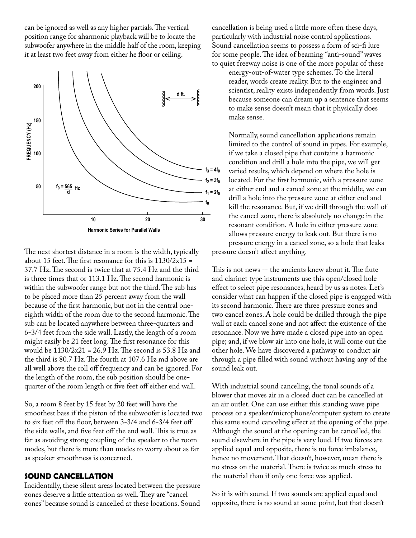can be ignored as well as any higher partials. The vertical position range for aharmonic playback will be to locate the subwoofer anywhere in the middle half of the room, keeping it at least two feet away from either he floor or ceiling.



The next shortest distance in a room is the width, typically about 15 feet. The first resonance for this is  $1130/2x15 =$ 37.7 Hz. The second is twice that at 75.4 Hz and the third is three times that or 113.1 Hz. The second harmonic is within the subwoofer range but not the third. The sub has to be placed more than 25 percent away from the wall because of the first harmonic, but not in the central oneeighth width of the room due to the second harmonic. The sub can be located anywhere between three-quarters and 6-3/4 feet from the side wall. Lastly, the length of a room might easily be 21 feet long. The first resonance for this would be  $1130/2x21 = 26.9$  Hz. The second is 53.8 Hz and the third is 80.7 Hz. The fourth at 107.6 Hz md above are all well above the roll off frequency and can be ignored. For the length of the room, the sub position should be onequarter of the room length or five feet off either end wall.

So, a room 8 feet by 15 feet by 20 feet will have the smoothest bass if the piston of the subwoofer is located two to six feet off the floor, between 3-3/4 and 6-3/4 feet off the side walls, and five feet off the end wall. This is true as far as avoiding strong coupling of the speaker to the room modes, but there is more than modes to worry about as far as speaker smoothness is concerned.

## **SOUND CANCELLATION**

Incidentally, these silent areas located between the pressure zones deserve a little attention as well. They are "cancel zones" because sound is cancelled at these locations. Sound

cancellation is being used a little more often these days, particularly with industrial noise control applications. Sound cancellation seems to possess a form of sci-fi lure for some people. The idea of beaming "anti-sound" waves to quiet freeway noise is one of the more popular of these

energy-out-of-water type schemes. To the literal reader, words create reality. But to the engineer and scientist, reality exists independently from words. Just because someone can dream up a sentence that seems to make sense doesn't mean that it physically does make sense.

Normally, sound cancellation applications remain limited to the control of sound in pipes. For example, if we take a closed pipe that contains a harmonic condition and drill a hole into the pipe, we will get varied results, which depend on where the hole is located. For the first harmonic, with a pressure zone at either end and a cancel zone at the middle, we can drill a hole into the pressure zone at either end and kill the resonance. But, if we drill through the wall of the cancel zone, there is absolutely no change in the resonant condition. A hole in either pressure zone allows pressure energy to leak out. But there is no pressure energy in a cancel zone, so a hole that leaks pressure doesn't affect anything.

This is not news -- the ancients knew about it. The flute and clarinet type instruments use this open/closed hole effect to select pipe resonances, heard by us as notes. Let's consider what can happen if the closed pipe is engaged with its second harmonic. There are three pressure zones and two cancel zones. A hole could be drilled through the pipe wall at each cancel zone and not affect the existence of the resonance. Now we have made a closed pipe into an open pipe; and, if we blow air into one hole, it will come out the other hole. We have discovered a pathway to conduct air through a pipe filled with sound without having any of the sound leak out.

With industrial sound canceling, the tonal sounds of a blower that moves air in a closed duct can be cancelled at an air outlet. One can use either this standing wave pipe process or a speaker/microphone/computer system to create this same sound canceling effect at the opening of the pipe. Although the sound at the opening can be cancelled, the sound elsewhere in the pipe is very loud. If two forces are applied equal and opposite, there is no force imbalance, hence no movement. That doesn't, however, mean there is no stress on the material. There is twice as much stress to the material than if only one force was applied.

So it is with sound. If two sounds are applied equal and opposite, there is no sound at some point, but that doesn't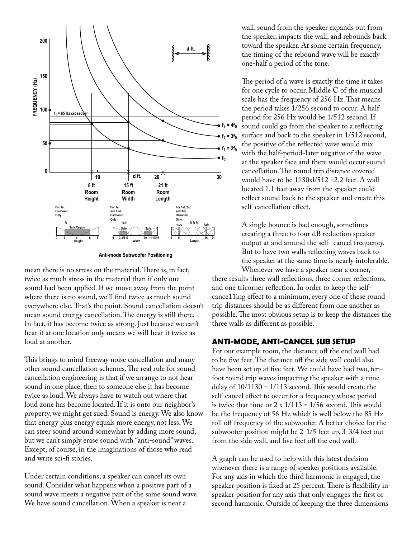

**Anti-mode Subwoofer Positioning**

mean there is no stress on the material. There is, in fact, twice as much stress in the material than if only one sound had been applied. If we move away from the point where there is no sound, we'll find twice as much sound everywhere else. That's the point. Sound cancellation doesn't mean sound energy cancellation. The energy is still there. In fact, it has become twice as strong. Just because we can't hear it at one location only means we will hear it twice as loud at another.

This brings to mind freeway noise cancellation and many other sound cancellation schemes. The real rule for sound cancellation engineering is that if we arrange to not hear sound in one place, then to someone else it has become twice as loud. We always have to watch out where that loud zone has become located. If it is onto our neighbor's property, we might get sued. Sound is energy. We also know that energy plus energy equals more energy, not less. We can steer sound around somewhat by adding more sound, but we can't simply erase sound with "anti-sound" waves. Except, of course, in the imaginations of those who read and write sci-fi stories.

Under certain conditions, a speaker can cancel its own sound. Consider what happens when a positive part of a sound wave meets a negative part of the same sound wave. We have sound cancellation. When a speaker is near a

wall, sound from the speaker expands out from the speaker, impacts the wall, and rebounds back toward the speaker. At some certain frequency, the timing of the rebound wave will be exactly one-half a period of the tone.

The period of a wave is exactly the time it takes for one cycle to occur. Middle C of the musical scale has the frequency of 256 Hz. That means the period takes 1/256 second to occur. A half period for 256 Hz would be 1/512 second. If sound could go from the speaker to a reflecting surface and back to the speaker in 1/512 second, the positive of the reflected wave would mix with the half-period-later negative of the wave at the speaker face and there would occur sound cancellation. The round trip distance covered would have to be 1130xl/512 =2.2 feet. A wall located 1.1 feet away from the speaker could reflect sound back to the speaker and create this self-cancellation effect.

A single bounce is bad enough, sometimes creating a three to four dB reduction speaker output at and around the self- cancel frequency. But to have two walls reflecting waves back to the speaker at the same time is nearly intolerable. Whenever we have a speaker near a corner,

there results three wall reflections, three corner reflections, and one tricorner reflection. In order to keep the selfcance11ing effect to a minimum, every one of these round trip distances should be as different from one another as possible. The most obvious setup is to keep the distances the three walls as different as possible.

### **ANTI-MODE, ANTI-CANCEL SUB SETUP**

For our example room, the distance off the end wall had to be five feet. The distance off the side wall could also have been set up at five feet. We could have had two, tenfoot round trip waves impacting the speaker with a time delay of  $10/1130 = 1/113$  second. This would create the self-cancel effect to occur for a frequency whose period is twice that time or  $2 \times 1/113 = 1/56$  second. This would be the frequency of 56 Hz which is well below the 85 Hz roll off frequency of the subwoofer. A better choice for the subwoofer position might be 2-1/5 feet up, 3-3/4 feet out from the side wall, and five feet off the end wall.

A graph can be used to help with this latest decision whenever there is a range of speaker positions available. For any axis in which the third harmonic is engaged, the speaker position is fixed at 25 percent. There is flexibility in speaker position for any axis that only engages the first or second harmonic. Outside of keeping the three dimensions